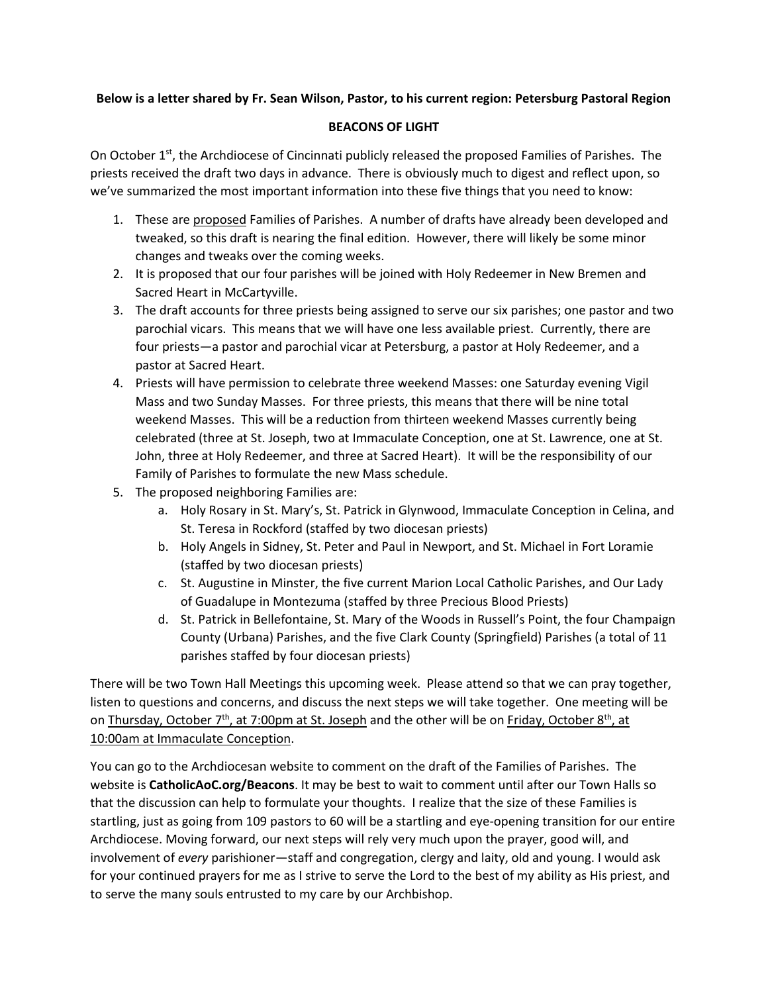## **Below is a letter shared by Fr. Sean Wilson, Pastor, to his current region: Petersburg Pastoral Region**

## **BEACONS OF LIGHT**

On October 1<sup>st</sup>, the Archdiocese of Cincinnati publicly released the proposed Families of Parishes. The priests received the draft two days in advance. There is obviously much to digest and reflect upon, so we've summarized the most important information into these five things that you need to know:

- 1. These are proposed Families of Parishes. A number of drafts have already been developed and tweaked, so this draft is nearing the final edition. However, there will likely be some minor changes and tweaks over the coming weeks.
- 2. It is proposed that our four parishes will be joined with Holy Redeemer in New Bremen and Sacred Heart in McCartyville.
- 3. The draft accounts for three priests being assigned to serve our six parishes; one pastor and two parochial vicars. This means that we will have one less available priest. Currently, there are four priests—a pastor and parochial vicar at Petersburg, a pastor at Holy Redeemer, and a pastor at Sacred Heart.
- 4. Priests will have permission to celebrate three weekend Masses: one Saturday evening Vigil Mass and two Sunday Masses. For three priests, this means that there will be nine total weekend Masses. This will be a reduction from thirteen weekend Masses currently being celebrated (three at St. Joseph, two at Immaculate Conception, one at St. Lawrence, one at St. John, three at Holy Redeemer, and three at Sacred Heart). It will be the responsibility of our Family of Parishes to formulate the new Mass schedule.
- 5. The proposed neighboring Families are:
	- a. Holy Rosary in St. Mary's, St. Patrick in Glynwood, Immaculate Conception in Celina, and St. Teresa in Rockford (staffed by two diocesan priests)
	- b. Holy Angels in Sidney, St. Peter and Paul in Newport, and St. Michael in Fort Loramie (staffed by two diocesan priests)
	- c. St. Augustine in Minster, the five current Marion Local Catholic Parishes, and Our Lady of Guadalupe in Montezuma (staffed by three Precious Blood Priests)
	- d. St. Patrick in Bellefontaine, St. Mary of the Woods in Russell's Point, the four Champaign County (Urbana) Parishes, and the five Clark County (Springfield) Parishes (a total of 11 parishes staffed by four diocesan priests)

There will be two Town Hall Meetings this upcoming week. Please attend so that we can pray together, listen to questions and concerns, and discuss the next steps we will take together. One meeting will be on Thursday, October 7<sup>th</sup>, at 7:00pm at St. Joseph and the other will be on Friday, October 8<sup>th</sup>, at 10:00am at Immaculate Conception.

You can go to the Archdiocesan website to comment on the draft of the Families of Parishes. The website is **CatholicAoC.org/Beacons**. It may be best to wait to comment until after our Town Halls so that the discussion can help to formulate your thoughts. I realize that the size of these Families is startling, just as going from 109 pastors to 60 will be a startling and eye-opening transition for our entire Archdiocese. Moving forward, our next steps will rely very much upon the prayer, good will, and involvement of *every* parishioner—staff and congregation, clergy and laity, old and young. I would ask for your continued prayers for me as I strive to serve the Lord to the best of my ability as His priest, and to serve the many souls entrusted to my care by our Archbishop.